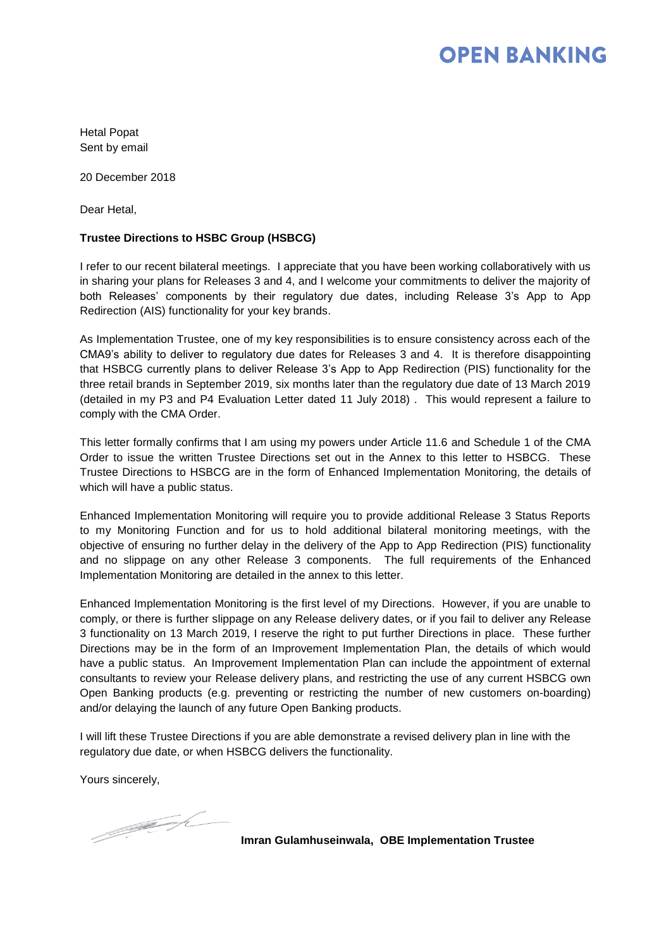## **OPEN BANKING**

Hetal Popat Sent by email

20 December 2018

Dear Hetal,

## **Trustee Directions to HSBC Group (HSBCG)**

I refer to our recent bilateral meetings. I appreciate that you have been working collaboratively with us in sharing your plans for Releases 3 and 4, and I welcome your commitments to deliver the majority of both Releases' components by their regulatory due dates, including Release 3's App to App Redirection (AIS) functionality for your key brands.

As Implementation Trustee, one of my key responsibilities is to ensure consistency across each of the CMA9's ability to deliver to regulatory due dates for Releases 3 and 4. It is therefore disappointing that HSBCG currently plans to deliver Release 3's App to App Redirection (PIS) functionality for the three retail brands in September 2019, six months later than the regulatory due date of 13 March 2019 (detailed in my P3 and P4 Evaluation Letter dated 11 July 2018) . This would represent a failure to comply with the CMA Order.

This letter formally confirms that I am using my powers under Article 11.6 and Schedule 1 of the CMA Order to issue the written Trustee Directions set out in the Annex to this letter to HSBCG. These Trustee Directions to HSBCG are in the form of Enhanced Implementation Monitoring, the details of which will have a public status.

Enhanced Implementation Monitoring will require you to provide additional Release 3 Status Reports to my Monitoring Function and for us to hold additional bilateral monitoring meetings, with the objective of ensuring no further delay in the delivery of the App to App Redirection (PIS) functionality and no slippage on any other Release 3 components. The full requirements of the Enhanced Implementation Monitoring are detailed in the annex to this letter.

Enhanced Implementation Monitoring is the first level of my Directions. However, if you are unable to comply, or there is further slippage on any Release delivery dates, or if you fail to deliver any Release 3 functionality on 13 March 2019, I reserve the right to put further Directions in place. These further Directions may be in the form of an Improvement Implementation Plan, the details of which would have a public status. An Improvement Implementation Plan can include the appointment of external consultants to review your Release delivery plans, and restricting the use of any current HSBCG own Open Banking products (e.g. preventing or restricting the number of new customers on-boarding) and/or delaying the launch of any future Open Banking products.

I will lift these Trustee Directions if you are able demonstrate a revised delivery plan in line with the regulatory due date, or when HSBCG delivers the functionality.

Yours sincerely,

1 June 1920

**Imran Gulamhuseinwala, OBE Implementation Trustee**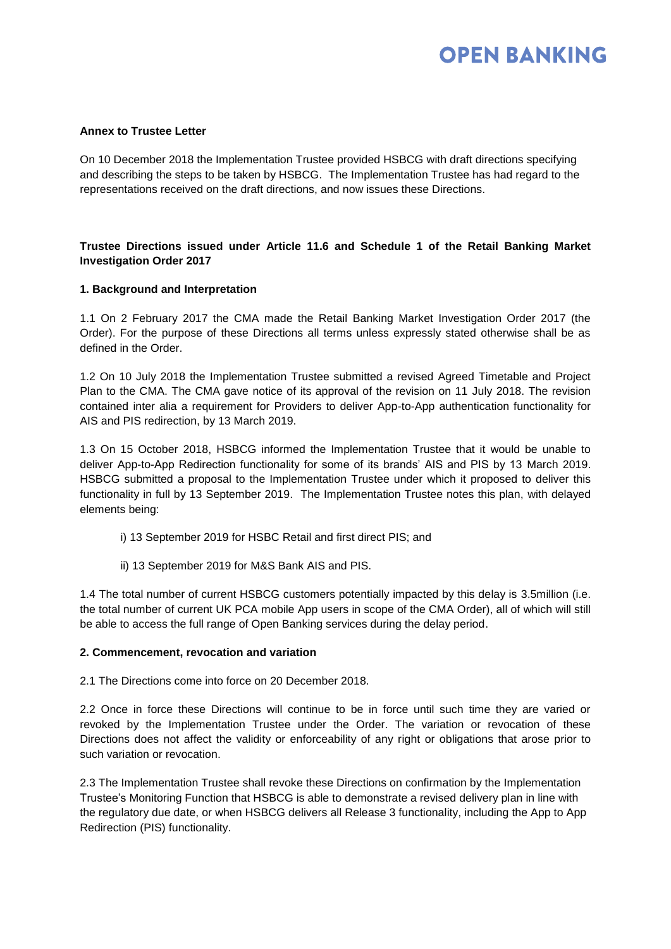# **OPEN BANKING**

### **Annex to Trustee Letter**

On 10 December 2018 the Implementation Trustee provided HSBCG with draft directions specifying and describing the steps to be taken by HSBCG. The Implementation Trustee has had regard to the representations received on the draft directions, and now issues these Directions.

## **Trustee Directions issued under Article 11.6 and Schedule 1 of the Retail Banking Market Investigation Order 2017**

## **1. Background and Interpretation**

1.1 On 2 February 2017 the CMA made the Retail Banking Market Investigation Order 2017 (the Order). For the purpose of these Directions all terms unless expressly stated otherwise shall be as defined in the Order.

1.2 On 10 July 2018 the Implementation Trustee submitted a revised Agreed Timetable and Project Plan to the CMA. The CMA gave notice of its approval of the revision on 11 July 2018. The revision contained inter alia a requirement for Providers to deliver App-to-App authentication functionality for AIS and PIS redirection, by 13 March 2019.

1.3 On 15 October 2018, HSBCG informed the Implementation Trustee that it would be unable to deliver App-to-App Redirection functionality for some of its brands' AIS and PIS by 13 March 2019. HSBCG submitted a proposal to the Implementation Trustee under which it proposed to deliver this functionality in full by 13 September 2019. The Implementation Trustee notes this plan, with delayed elements being:

- i) 13 September 2019 for HSBC Retail and first direct PIS; and
- ii) 13 September 2019 for M&S Bank AIS and PIS.

1.4 The total number of current HSBCG customers potentially impacted by this delay is 3.5million (i.e. the total number of current UK PCA mobile App users in scope of the CMA Order), all of which will still be able to access the full range of Open Banking services during the delay period.

#### **2. Commencement, revocation and variation**

2.1 The Directions come into force on 20 December 2018.

2.2 Once in force these Directions will continue to be in force until such time they are varied or revoked by the Implementation Trustee under the Order. The variation or revocation of these Directions does not affect the validity or enforceability of any right or obligations that arose prior to such variation or revocation.

2.3 The Implementation Trustee shall revoke these Directions on confirmation by the Implementation Trustee's Monitoring Function that HSBCG is able to demonstrate a revised delivery plan in line with the regulatory due date, or when HSBCG delivers all Release 3 functionality, including the App to App Redirection (PIS) functionality.